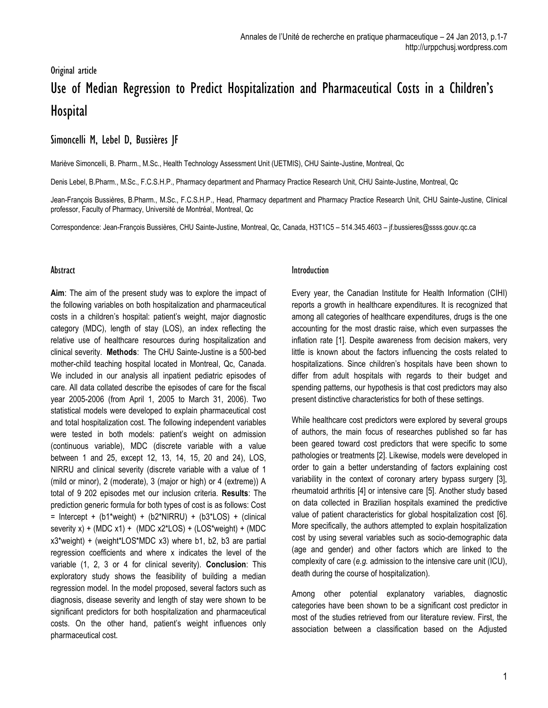# Original article Use of Median Regression to Predict Hospitalization and Pharmaceutical Costs in a Children's **Hospital**

## Simoncelli M, Lebel D, Bussières JF

Mariève Simoncelli, B. Pharm., M.Sc., Health Technology Assessment Unit (UETMIS), CHU Sainte-Justine, Montreal, Qc

Denis Lebel, B.Pharm., M.Sc., F.C.S.H.P., Pharmacy department and Pharmacy Practice Research Unit, CHU Sainte-Justine, Montreal, Qc

Jean-François Bussières, B.Pharm., M.Sc., F.C.S.H.P., Head, Pharmacy department and Pharmacy Practice Research Unit, CHU Sainte-Justine, Clinical professor, Faculty of Pharmacy, Université de Montréal, Montreal, Qc

Correspondence: Jean-François Bussières, CHU Sainte-Justine, Montreal, Qc, Canada, H3T1C5 – 514.345.4603 – [jf.bussieres@ssss.gouv.qc.ca](mailto:jf.bussieres@ssss.gouv.qc.ca)

#### **Abstract**

**Aim**: The aim of the present study was to explore the impact of the following variables on both hospitalization and pharmaceutical costs in a children's hospital: patient's weight, major diagnostic category (MDC), length of stay (LOS), an index reflecting the relative use of healthcare resources during hospitalization and clinical severity. **Methods**: The CHU Sainte-Justine is a 500-bed mother-child teaching hospital located in Montreal, Qc, Canada. We included in our analysis all inpatient pediatric episodes of care. All data collated describe the episodes of care for the fiscal year 2005-2006 (from April 1, 2005 to March 31, 2006). Two statistical models were developed to explain pharmaceutical cost and total hospitalization cost. The following independent variables were tested in both models: patient's weight on admission (continuous variable), MDC (discrete variable with a value between 1 and 25, except 12, 13, 14, 15, 20 and 24), LOS, NIRRU and clinical severity (discrete variable with a value of 1 (mild or minor), 2 (moderate), 3 (major or high) or 4 (extreme)) A total of 9 202 episodes met our inclusion criteria. **Results**: The prediction generic formula for both types of cost is as follows: Cost  $=$  Intercept + (b1\*weight) + (b2\*NIRRU) + (b3\*LOS) + (clinical severity x) + (MDC x1) + (MDC x2\*LOS) + (LOS\*weight) + (MDC x3\*weight) + (weight\*LOS\*MDC x3) where b1, b2, b3 are partial regression coefficients and where x indicates the level of the variable (1, 2, 3 or 4 for clinical severity). **Conclusion**: This exploratory study shows the feasibility of building a median regression model. In the model proposed, several factors such as diagnosis, disease severity and length of stay were shown to be significant predictors for both hospitalization and pharmaceutical costs. On the other hand, patient's weight influences only pharmaceutical cost.

#### Introduction

Every year, the Canadian Institute for Health Information (CIHI) reports a growth in healthcare expenditures. It is recognized that among all categories of healthcare expenditures, drugs is the one accounting for the most drastic raise, which even surpasses the inflation rate [1]. Despite awareness from decision makers, very little is known about the factors influencing the costs related to hospitalizations. Since children's hospitals have been shown to differ from adult hospitals with regards to their budget and spending patterns, our hypothesis is that cost predictors may also present distinctive characteristics for both of these settings.

While healthcare cost predictors were explored by several groups of authors, the main focus of researches published so far has been geared toward cost predictors that were specific to some pathologies or treatments [2]. Likewise, models were developed in order to gain a better understanding of factors explaining cost variability in the context of coronary artery bypass surgery [3], rheumatoid arthritis [4] or intensive care [5]. Another study based on data collected in Brazilian hospitals examined the predictive value of patient characteristics for global hospitalization cost [6]. More specifically, the authors attempted to explain hospitalization cost by using several variables such as socio-demographic data (age and gender) and other factors which are linked to the complexity of care (*e.g.* admission to the intensive care unit (ICU), death during the course of hospitalization).

Among other potential explanatory variables, diagnostic categories have been shown to be a significant cost predictor in most of the studies retrieved from our literature review. First, the association between a classification based on the Adjusted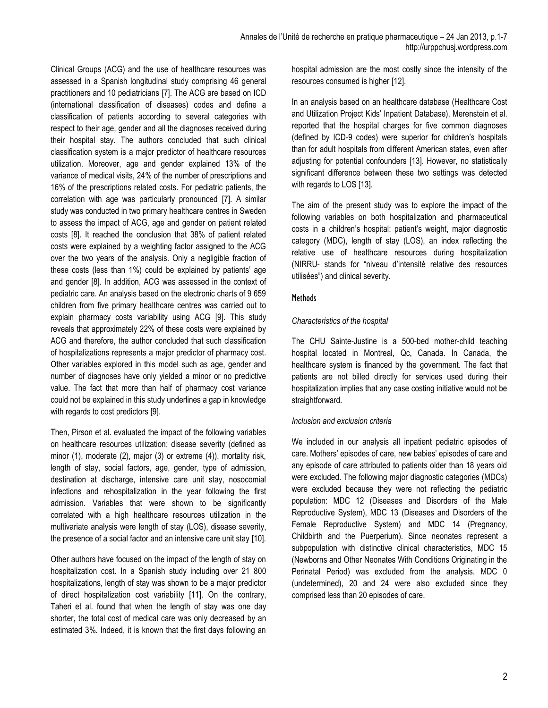Clinical Groups (ACG) and the use of healthcare resources was assessed in a Spanish longitudinal study comprising 46 general practitioners and 10 pediatricians [7]. The ACG are based on ICD (international classification of diseases) codes and define a classification of patients according to several categories with respect to their age, gender and all the diagnoses received during their hospital stay. The authors concluded that such clinical classification system is a major predictor of healthcare resources utilization. Moreover, age and gender explained 13% of the variance of medical visits, 24% of the number of prescriptions and 16% of the prescriptions related costs. For pediatric patients, the correlation with age was particularly pronounced [7]. A similar study was conducted in two primary healthcare centres in Sweden to assess the impact of ACG, age and gender on patient related costs [8]. It reached the conclusion that 38% of patient related costs were explained by a weighting factor assigned to the ACG over the two years of the analysis. Only a negligible fraction of these costs (less than 1%) could be explained by patients' age and gender [8]. In addition, ACG was assessed in the context of pediatric care. An analysis based on the electronic charts of 9 659 children from five primary healthcare centres was carried out to explain pharmacy costs variability using ACG [9]. This study reveals that approximately 22% of these costs were explained by ACG and therefore, the author concluded that such classification of hospitalizations represents a major predictor of pharmacy cost. Other variables explored in this model such as age, gender and number of diagnoses have only yielded a minor or no predictive value. The fact that more than half of pharmacy cost variance could not be explained in this study underlines a gap in knowledge with regards to cost predictors [9].

Then, Pirson et al. evaluated the impact of the following variables on healthcare resources utilization: disease severity (defined as minor (1), moderate (2), major (3) or extreme (4)), mortality risk, length of stay, social factors, age, gender, type of admission, destination at discharge, intensive care unit stay, nosocomial infections and rehospitalization in the year following the first admission. Variables that were shown to be significantly correlated with a high healthcare resources utilization in the multivariate analysis were length of stay (LOS), disease severity, the presence of a social factor and an intensive care unit stay [10].

Other authors have focused on the impact of the length of stay on hospitalization cost. In a Spanish study including over 21 800 hospitalizations, length of stay was shown to be a major predictor of direct hospitalization cost variability [11]. On the contrary, Taheri et al. found that when the length of stay was one day shorter, the total cost of medical care was only decreased by an estimated 3%. Indeed, it is known that the first days following an

hospital admission are the most costly since the intensity of the resources consumed is higher [12].

In an analysis based on an healthcare database (Healthcare Cost and Utilization Project Kids' Inpatient Database), Merenstein et al. reported that the hospital charges for five common diagnoses (defined by ICD-9 codes) were superior for children's hospitals than for adult hospitals from different American states, even after adjusting for potential confounders [13]. However, no statistically significant difference between these two settings was detected with regards to LOS [13].

The aim of the present study was to explore the impact of the following variables on both hospitalization and pharmaceutical costs in a children's hospital: patient's weight, major diagnostic category (MDC), length of stay (LOS), an index reflecting the relative use of healthcare resources during hospitalization (NIRRU- stands for "niveau d'intensité relative des resources utilisées") and clinical severity.

#### Methods

#### *Characteristics of the hospital*

The CHU Sainte-Justine is a 500-bed mother-child teaching hospital located in Montreal, Qc, Canada. In Canada, the healthcare system is financed by the government. The fact that patients are not billed directly for services used during their hospitalization implies that any case costing initiative would not be straightforward.

#### *Inclusion and exclusion criteria*

We included in our analysis all inpatient pediatric episodes of care. Mothers' episodes of care, new babies' episodes of care and any episode of care attributed to patients older than 18 years old were excluded. The following major diagnostic categories (MDCs) were excluded because they were not reflecting the pediatric population: MDC 12 (Diseases and Disorders of the Male Reproductive System), MDC 13 (Diseases and Disorders of the Female Reproductive System) and MDC 14 (Pregnancy, Childbirth and the Puerperium). Since neonates represent a subpopulation with distinctive clinical characteristics, MDC 15 (Newborns and Other Neonates With Conditions Originating in the Perinatal Period) was excluded from the analysis. MDC 0 (undetermined), 20 and 24 were also excluded since they comprised less than 20 episodes of care.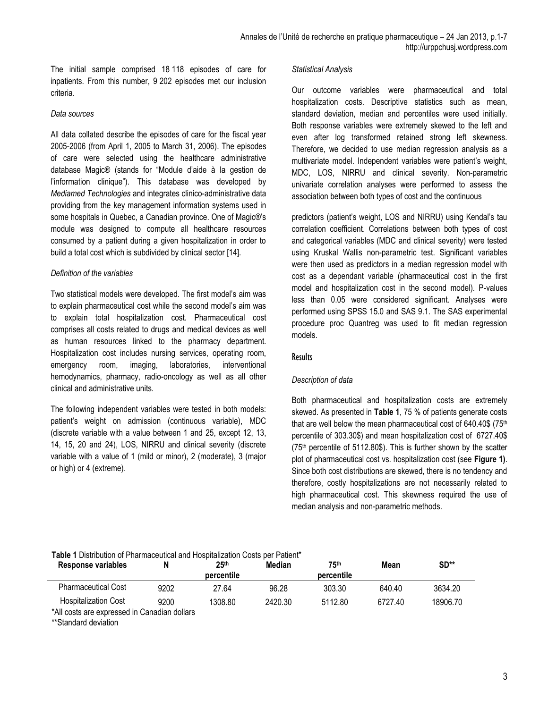The initial sample comprised 18 118 episodes of care for inpatients. From this number, 9 202 episodes met our inclusion criteria.

#### *Data sources*

All data collated describe the episodes of care for the fiscal year 2005-2006 (from April 1, 2005 to March 31, 2006). The episodes of care were selected using the healthcare administrative database Magic® (stands for "Module d'aide à la gestion de l'information clinique"). This database was developed by *Mediamed Technologies* and integrates clinico-administrative data providing from the key management information systems used in some hospitals in Quebec, a Canadian province. One of Magic®'s module was designed to compute all healthcare resources consumed by a patient during a given hospitalization in order to build a total cost which is subdivided by clinical sector [14].

#### *Definition of the variables*

Two statistical models were developed. The first model's aim was to explain pharmaceutical cost while the second model's aim was to explain total hospitalization cost. Pharmaceutical cost comprises all costs related to drugs and medical devices as well as human resources linked to the pharmacy department. Hospitalization cost includes nursing services, operating room, emergency room, imaging, laboratories, interventional hemodynamics, pharmacy, radio-oncology as well as all other clinical and administrative units.

The following independent variables were tested in both models: patient's weight on admission (continuous variable), MDC (discrete variable with a value between 1 and 25, except 12, 13, 14, 15, 20 and 24), LOS, NIRRU and clinical severity (discrete variable with a value of 1 (mild or minor), 2 (moderate), 3 (major or high) or 4 (extreme).

#### *Statistical Analysis*

Our outcome variables were pharmaceutical and total hospitalization costs. Descriptive statistics such as mean, standard deviation, median and percentiles were used initially. Both response variables were extremely skewed to the left and even after log transformed retained strong left skewness. Therefore, we decided to use median regression analysis as a multivariate model. Independent variables were patient's weight, MDC, LOS, NIRRU and clinical severity. Non-parametric univariate correlation analyses were performed to assess the association between both types of cost and the continuous

predictors (patient's weight, LOS and NIRRU) using Kendal's tau correlation coefficient. Correlations between both types of cost and categorical variables (MDC and clinical severity) were tested using Kruskal Wallis non-parametric test. Significant variables were then used as predictors in a median regression model with cost as a dependant variable (pharmaceutical cost in the first model and hospitalization cost in the second model). P-values less than 0.05 were considered significant. Analyses were performed using SPSS 15.0 and SAS 9.1. The SAS experimental procedure proc Quantreg was used to fit median regression models.

#### **Results**

#### *Description of data*

Both pharmaceutical and hospitalization costs are extremely skewed. As presented in **Table 1**, 75 % of patients generate costs that are well below the mean pharmaceutical cost of  $640.40\$  ( $75<sup>th</sup>$ ) percentile of 303.30\$) and mean hospitalization cost of 6727.40\$ (75<sup>th</sup> percentile of 5112.80\$). This is further shown by the scatter plot of pharmaceutical cost vs. hospitalization cost (see **Figure 1)**. Since both cost distributions are skewed, there is no tendency and therefore, costly hospitalizations are not necessarily related to high pharmaceutical cost. This skewness required the use of median analysis and non-parametric methods.

### **Table 1** Distribution of Pharmaceutical and Hospitalization Costs per Patient\*

| Response variables                           |      | 25 <sup>th</sup> | <b>Median</b> | 75th       | Mean    | $SD**$   |
|----------------------------------------------|------|------------------|---------------|------------|---------|----------|
|                                              |      | percentile       |               | percentile |         |          |
| <b>Pharmaceutical Cost</b>                   | 9202 | 27.64            | 96.28         | 303.30     | 640.40  | 3634.20  |
| <b>Hospitalization Cost</b>                  | 9200 | 1308.80          | 2420.30       | 5112.80    | 6727.40 | 18906.70 |
| *All costs are expressed in Canadian dollars |      |                  |               |            |         |          |

\*\*Standard deviation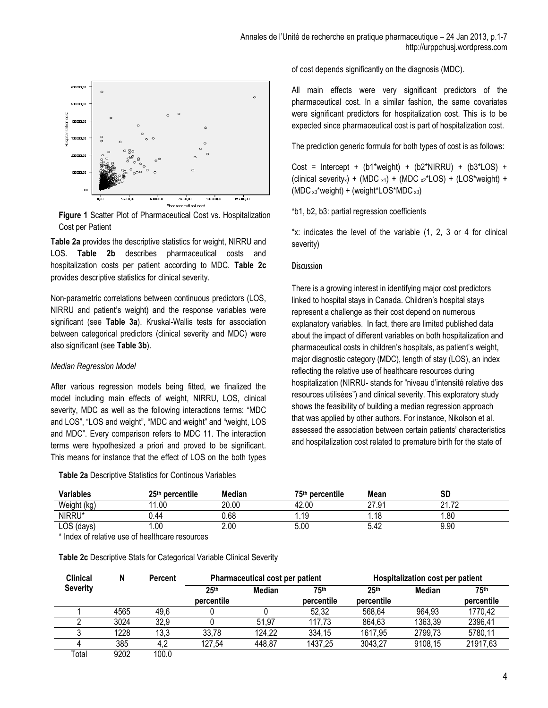

**Figure 1** Scatter Plot of Pharmaceutical Cost vs. Hospitalization Cost per Patient

**Table 2a** provides the descriptive statistics for weight, NIRRU and LOS. **Table 2b** describes pharmaceutical costs and hospitalization costs per patient according to MDC. **Table 2c**  provides descriptive statistics for clinical severity.

Non-parametric correlations between continuous predictors (LOS, NIRRU and patient's weight) and the response variables were significant (see **Table 3a**). Kruskal-Wallis tests for association between categorical predictors (clinical severity and MDC) were also significant (see **Table 3b**).

#### *Median Regression Model*

After various regression models being fitted, we finalized the model including main effects of weight, NIRRU, LOS, clinical severity, MDC as well as the following interactions terms: "MDC and LOS", "LOS and weight", "MDC and weight" and "weight, LOS and MDC". Every comparison refers to MDC 11. The interaction terms were hypothesized a priori and proved to be significant. This means for instance that the effect of LOS on the both types

**Table 2a** Descriptive Statistics for Continous Variables

of cost depends significantly on the diagnosis (MDC).

All main effects were very significant predictors of the pharmaceutical cost. In a similar fashion, the same covariates were significant predictors for hospitalization cost. This is to be expected since pharmaceutical cost is part of hospitalization cost.

The prediction generic formula for both types of cost is as follows:

Cost = Intercept +  $(b1$ <sup>\*</sup>weight) +  $(b2$ <sup>\*</sup>NIRRU) +  $(b3$ <sup>\*</sup>LOS) + (clinical severity<sub>x</sub>) + (MDC  $x_1$ ) + (MDC  $x_2$ <sup>\*</sup>LOS) + (LOS<sup>\*</sup>weight) +  $(MDC<sub>x3</sub><sup>*</sup>weight) + (weight<sup>*</sup>LOS<sup>*</sup>MDC<sub>x3</sub>)$ 

\*b1, b2, b3: partial regression coefficients

\*x: indicates the level of the variable (1, 2, 3 or 4 for clinical severity)

#### **Discussion**

There is a growing interest in identifying major cost predictors linked to hospital stays in Canada. Children's hospital stays represent a challenge as their cost depend on numerous explanatory variables. In fact, there are limited published data about the impact of different variables on both hospitalization and pharmaceutical costs in children's hospitals, as patient's weight, major diagnostic category (MDC), length of stay (LOS), an index reflecting the relative use of healthcare resources during hospitalization (NIRRU- stands for "niveau d'intensité relative des resources utilisées") and clinical severity. This exploratory study shows the feasibility of building a median regression approach that was applied by other authors. For instance, Nikolson et al. assessed the association between certain patients' characteristics and hospitalization cost related to premature birth for the state of

| Variables   | 25 <sup>th</sup> percentile | Median | 75 <sup>th</sup> percentile | Mean      | SC                           |  |
|-------------|-----------------------------|--------|-----------------------------|-----------|------------------------------|--|
| Weight (kg) | 1.00<br>44                  | 20.00  | 42.00                       | 27.91     | $^{\circ}$<br>70<br><u>.</u> |  |
| NIRRU*      | 0.44                        | 0.68   | l.19                        | <b>10</b> | 1.80                         |  |
| LOS (days)  | .00                         | 2.00   | 5.00                        | 5.42      | 9.90                         |  |

\* Index of relative use of healthcare resources

**Table 2c** Descriptive Stats for Categorical Variable Clinical Severity

| <b>Clinical</b><br>N |      | <b>Percent</b> | Pharmaceutical cost per patient |        |                    | Hospitalization cost per patient |         |                    |
|----------------------|------|----------------|---------------------------------|--------|--------------------|----------------------------------|---------|--------------------|
| <b>Severity</b>      |      |                | 25 <sup>th</sup><br>percentile  | Median | 75th<br>percentile | 25 <sup>th</sup><br>percentile   | Median  | 75th<br>percentile |
|                      | 4565 | 49,6           |                                 |        | 52,32              | 568,64                           | 964,93  | 1770,42            |
|                      |      |                |                                 |        |                    |                                  |         |                    |
|                      | 3024 | 32,9           |                                 | 51,97  | 117.73             | 864,63                           | 1363,39 | 2396,41            |
|                      | 1228 | 13,3           | 33,78                           | 124,22 | 334,15             | 1617,95                          | 2799,73 | 5780,11            |
|                      | 385  | 4,2            | 127,54                          | 448,87 | 1437,25            | 3043,27                          | 9108.15 | 21917,63           |
| Total                | 9202 | 100.0          |                                 |        |                    |                                  |         |                    |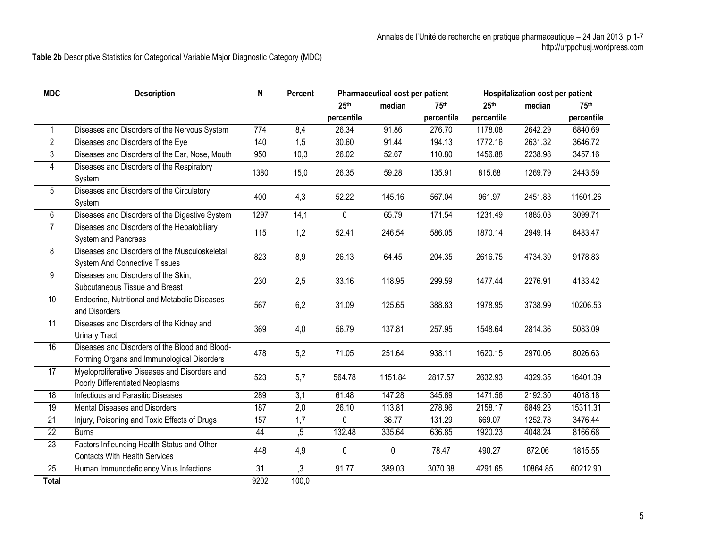**Table 2b** Descriptive Statistics for Categorical Variable Major Diagnostic Category (MDC)

| <b>MDC</b>      | <b>Description</b>                             | N    | Percent        | Pharmaceutical cost per patient |           | Hospitalization cost per patient |                  |          |            |
|-----------------|------------------------------------------------|------|----------------|---------------------------------|-----------|----------------------------------|------------------|----------|------------|
|                 |                                                |      |                | 25 <sup>th</sup>                | median    | 75th                             | 25 <sup>th</sup> | median   | 75th       |
|                 |                                                |      |                | percentile                      |           | percentile                       | percentile       |          | percentile |
| 1               | Diseases and Disorders of the Nervous System   | 774  | 8,4            | 26.34                           | 91.86     | 276.70                           | 1178.08          | 2642.29  | 6840.69    |
| $\overline{2}$  | Diseases and Disorders of the Eye              | 140  | 1,5            | 30.60                           | 91.44     | 194.13                           | 1772.16          | 2631.32  | 3646.72    |
| $\overline{3}$  | Diseases and Disorders of the Ear, Nose, Mouth | 950  | 10,3           | 26.02                           | 52.67     | 110.80                           | 1456.88          | 2238.98  | 3457.16    |
| 4               | Diseases and Disorders of the Respiratory      | 1380 | 15,0           | 26.35                           | 59.28     | 135.91                           | 815.68           | 1269.79  | 2443.59    |
|                 | System                                         |      |                |                                 |           |                                  |                  |          |            |
| 5               | Diseases and Disorders of the Circulatory      | 400  | 4,3            | 52.22                           | 145.16    | 567.04                           | 961.97           | 2451.83  | 11601.26   |
|                 | System                                         |      |                |                                 |           |                                  |                  |          |            |
| 6               | Diseases and Disorders of the Digestive System | 1297 | 14,1           | 0                               | 65.79     | 171.54                           | 1231.49          | 1885.03  | 3099.71    |
| $\overline{7}$  | Diseases and Disorders of the Hepatobiliary    | 115  | 1,2            | 52.41                           | 246.54    | 586.05                           | 1870.14          | 2949.14  | 8483.47    |
|                 | System and Pancreas                            |      |                |                                 |           |                                  |                  |          |            |
| 8               | Diseases and Disorders of the Musculoskeletal  | 823  | 8,9            | 26.13                           | 64.45     | 204.35                           | 2616.75          | 4734.39  | 9178.83    |
|                 | <b>System And Connective Tissues</b>           |      |                |                                 |           |                                  |                  |          |            |
| 9               | Diseases and Disorders of the Skin,            | 230  | 2,5            | 33.16                           | 118.95    | 299.59                           | 1477.44          | 2276.91  | 4133.42    |
|                 | Subcutaneous Tissue and Breast                 |      |                |                                 |           |                                  |                  |          |            |
| $\overline{10}$ | Endocrine, Nutritional and Metabolic Diseases  | 567  | 6,2            | 31.09                           | 125.65    | 388.83                           | 1978.95          | 3738.99  | 10206.53   |
|                 | and Disorders                                  |      |                |                                 |           |                                  |                  |          |            |
| 11              | Diseases and Disorders of the Kidney and       | 369  | 4,0            | 56.79                           | 137.81    | 257.95                           | 1548.64          | 2814.36  | 5083.09    |
|                 | <b>Urinary Tract</b>                           |      |                |                                 |           |                                  |                  |          |            |
| 16              | Diseases and Disorders of the Blood and Blood- | 478  | 5,2            | 71.05                           | 251.64    | 938.11                           | 1620.15          | 2970.06  | 8026.63    |
|                 | Forming Organs and Immunological Disorders     |      |                |                                 |           |                                  |                  |          |            |
| 17              | Myeloproliferative Diseases and Disorders and  | 523  | 5,7            | 564.78                          | 1151.84   | 2817.57                          | 2632.93          | 4329.35  | 16401.39   |
|                 | Poorly Differentiated Neoplasms                |      |                |                                 |           |                                  |                  |          |            |
| $\overline{18}$ | Infectious and Parasitic Diseases              | 289  | 3,1            | 61.48                           | 147.28    | 345.69                           | 1471.56          | 2192.30  | 4018.18    |
| $\overline{19}$ | Mental Diseases and Disorders                  | 187  | 2,0            | 26.10                           | 113.81    | 278.96                           | 2158.17          | 6849.23  | 15311.31   |
| 21              | Injury, Poisoning and Toxic Effects of Drugs   | 157  | 1,7            | 0                               | 36.77     | 131.29                           | 669.07           | 1252.78  | 3476.44    |
| $\overline{22}$ | <b>Burns</b>                                   | 44   | , 5            | 132.48                          | 335.64    | 636.85                           | 1920.23          | 4048.24  | 8166.68    |
| $\overline{23}$ | Factors Infleuncing Health Status and Other    | 448  | 4,9            | $\mathbf 0$                     | $\pmb{0}$ | 78.47                            | 490.27           | 872.06   | 1815.55    |
|                 | <b>Contacts With Health Services</b>           |      |                |                                 |           |                                  |                  |          |            |
| 25              | Human Immunodeficiency Virus Infections        | 31   | $\mathfrak{Z}$ | 91.77                           | 389.03    | 3070.38                          | 4291.65          | 10864.85 | 60212.90   |
| <b>Total</b>    |                                                | 9202 | 100,0          |                                 |           |                                  |                  |          |            |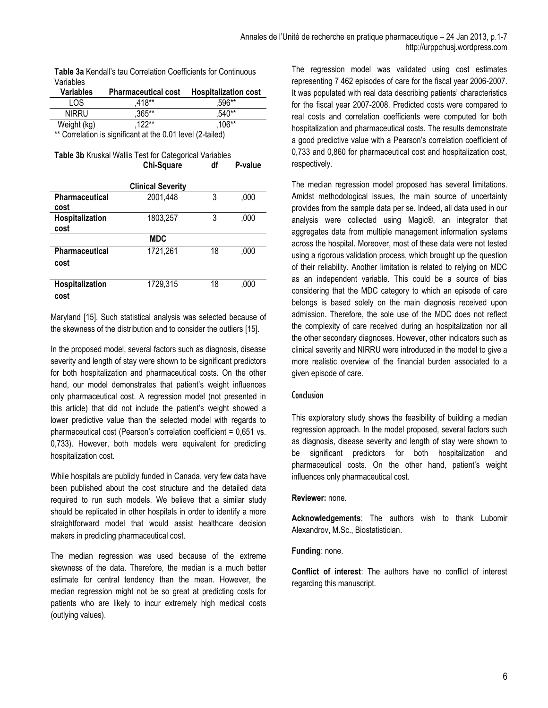| Table 3a Kendall's tau Correlation Coefficients for Continuous |
|----------------------------------------------------------------|
| Variables                                                      |

| Variables        | <b>Pharmaceutical cost</b> | <b>Hospitalization cost</b> |
|------------------|----------------------------|-----------------------------|
| LOS.             | $418**$                    | $.596**$                    |
| <b>NIRRU</b>     | $.365***$                  | .540**                      |
| Weight (kg)<br>. | $.122**$<br>- - - -        | .106**                      |

\*\* Correlation is significant at the 0.01 level (2-tailed)

| <b>Table 3b Kruskal Wallis Test for Categorical Variables</b> |                   |    |         |
|---------------------------------------------------------------|-------------------|----|---------|
|                                                               | <b>Chi-Square</b> | df | P-value |

|                 | <b>Clinical Severity</b> |    |      |
|-----------------|--------------------------|----|------|
| Pharmaceutical  | 2001,448                 | 3  | ,000 |
| cost            |                          |    |      |
| Hospitalization | 1803,257                 | 3  | ,000 |
| cost            |                          |    |      |
|                 | <b>MDC</b>               |    |      |
| Pharmaceutical  | 1721,261                 | 18 | ,000 |
| cost            |                          |    |      |
|                 |                          |    |      |
| Hospitalization | 1729,315                 | 18 | ,000 |
| cost            |                          |    |      |

Maryland [15]. Such statistical analysis was selected because of the skewness of the distribution and to consider the outliers [15].

In the proposed model, several factors such as diagnosis, disease severity and length of stay were shown to be significant predictors for both hospitalization and pharmaceutical costs. On the other hand, our model demonstrates that patient's weight influences only pharmaceutical cost. A regression model (not presented in this article) that did not include the patient's weight showed a lower predictive value than the selected model with regards to pharmaceutical cost (Pearson's correlation coefficient = 0,651 vs. 0,733). However, both models were equivalent for predicting hospitalization cost.

While hospitals are publicly funded in Canada, very few data have been published about the cost structure and the detailed data required to run such models. We believe that a similar study should be replicated in other hospitals in order to identify a more straightforward model that would assist healthcare decision makers in predicting pharmaceutical cost.

The median regression was used because of the extreme skewness of the data. Therefore, the median is a much better estimate for central tendency than the mean. However, the median regression might not be so great at predicting costs for patients who are likely to incur extremely high medical costs (outlying values).

The regression model was validated using cost estimates representing 7 462 episodes of care for the fiscal year 2006-2007. It was populated with real data describing patients' characteristics for the fiscal year 2007-2008. Predicted costs were compared to real costs and correlation coefficients were computed for both hospitalization and pharmaceutical costs. The results demonstrate a good predictive value with a Pearson's correlation coefficient of 0,733 and 0,860 for pharmaceutical cost and hospitalization cost, respectively.

The median regression model proposed has several limitations. Amidst methodological issues, the main source of uncertainty provides from the sample data per se. Indeed, all data used in our analysis were collected using Magic®, an integrator that aggregates data from multiple management information systems across the hospital. Moreover, most of these data were not tested using a rigorous validation process, which brought up the question of their reliability. Another limitation is related to relying on MDC as an independent variable. This could be a source of bias considering that the MDC category to which an episode of care belongs is based solely on the main diagnosis received upon admission. Therefore, the sole use of the MDC does not reflect the complexity of care received during an hospitalization nor all the other secondary diagnoses. However, other indicators such as clinical severity and NIRRU were introduced in the model to give a more realistic overview of the financial burden associated to a given episode of care.

#### Conclusion

This exploratory study shows the feasibility of building a median regression approach. In the model proposed, several factors such as diagnosis, disease severity and length of stay were shown to be significant predictors for both hospitalization and pharmaceutical costs. On the other hand, patient's weight influences only pharmaceutical cost.

#### **Reviewer:** none.

**Acknowledgements**: The authors wish to thank Lubomir Alexandrov, M.Sc., Biostatistician.

#### **Funding**: none.

**Conflict of interest**: The authors have no conflict of interest regarding this manuscript.